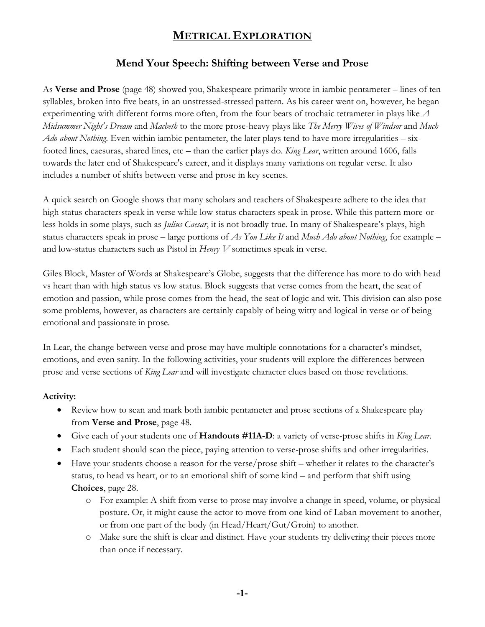## **METRICAL EXPLORATION**

### **Mend Your Speech: Shifting between Verse and Prose**

As **Verse and Prose** (page 48) showed you, Shakespeare primarily wrote in iambic pentameter – lines of ten syllables, broken into five beats, in an unstressed-stressed pattern. As his career went on, however, he began experimenting with different forms more often, from the four beats of trochaic tetrameter in plays like *A Midsummer Night's Dream* and *Macbeth* to the more prose-heavy plays like *The Merry Wives of Windsor* and *Much Ado about Nothing*. Even within iambic pentameter, the later plays tend to have more irregularities – sixfooted lines, caesuras, shared lines, etc – than the earlier plays do. *King Lear*, written around 1606, falls towards the later end of Shakespeare's career, and it displays many variations on regular verse. It also includes a number of shifts between verse and prose in key scenes.

A quick search on Google shows that many scholars and teachers of Shakespeare adhere to the idea that high status characters speak in verse while low status characters speak in prose. While this pattern more-orless holds in some plays, such as *Julius Caesar*, it is not broadly true. In many of Shakespeare's plays, high status characters speak in prose – large portions of *As You Like It* and *Much Ado about Nothing*, for example – and low-status characters such as Pistol in *Henry V* sometimes speak in verse.

Giles Block, Master of Words at Shakespeare's Globe, suggests that the difference has more to do with head vs heart than with high status vs low status. Block suggests that verse comes from the heart, the seat of emotion and passion, while prose comes from the head, the seat of logic and wit. This division can also pose some problems, however, as characters are certainly capably of being witty and logical in verse or of being emotional and passionate in prose.

In Lear, the change between verse and prose may have multiple connotations for a character's mindset, emotions, and even sanity. In the following activities, your students will explore the differences between prose and verse sections of *King Lear* and will investigate character clues based on those revelations.

#### **Activity:**

- Review how to scan and mark both iambic pentameter and prose sections of a Shakespeare play from **Verse and Prose**, page 48.
- Give each of your students one of **Handouts #11A-D**: a variety of verse-prose shifts in *King Lear*.
- Each student should scan the piece, paying attention to verse-prose shifts and other irregularities.
- Have your students choose a reason for the verse/prose shift whether it relates to the character's status, to head vs heart, or to an emotional shift of some kind – and perform that shift using **Choices**, page 28.
	- o For example: A shift from verse to prose may involve a change in speed, volume, or physical posture. Or, it might cause the actor to move from one kind of Laban movement to another, or from one part of the body (in Head/Heart/Gut/Groin) to another.
	- o Make sure the shift is clear and distinct. Have your students try delivering their pieces more than once if necessary.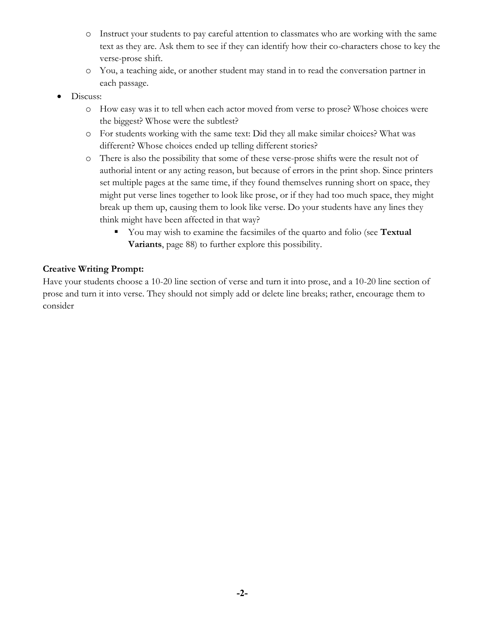- o Instruct your students to pay careful attention to classmates who are working with the same text as they are. Ask them to see if they can identify how their co-characters chose to key the verse-prose shift.
- o You, a teaching aide, or another student may stand in to read the conversation partner in each passage.
- Discuss:
	- o How easy was it to tell when each actor moved from verse to prose? Whose choices were the biggest? Whose were the subtlest?
	- o For students working with the same text: Did they all make similar choices? What was different? Whose choices ended up telling different stories?
	- o There is also the possibility that some of these verse-prose shifts were the result not of authorial intent or any acting reason, but because of errors in the print shop. Since printers set multiple pages at the same time, if they found themselves running short on space, they might put verse lines together to look like prose, or if they had too much space, they might break up them up, causing them to look like verse. Do your students have any lines they think might have been affected in that way?
		- You may wish to examine the facsimiles of the quarto and folio (see **Textual Variants**, page 88) to further explore this possibility.

### **Creative Writing Prompt:**

Have your students choose a 10-20 line section of verse and turn it into prose, and a 10-20 line section of prose and turn it into verse. They should not simply add or delete line breaks; rather, encourage them to consider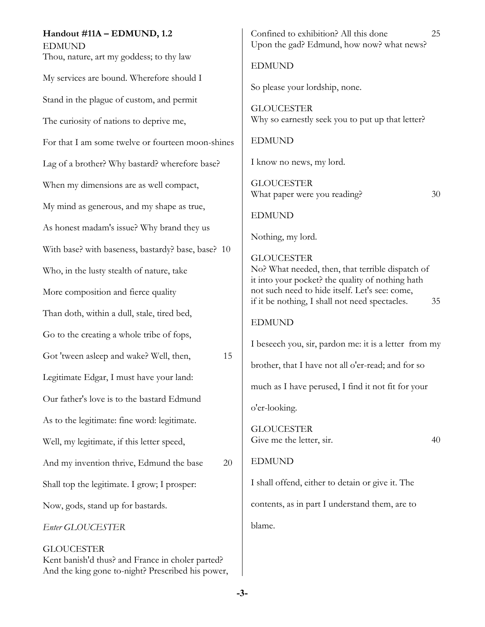#### **Handout #11A – EDMUND, 1.2** EDMUND

Thou, nature, art my goddess; to thy law My services are bound. Wherefore should I Stand in the plague of custom, and permit The curiosity of nations to deprive me, For that I am some twelve or fourteen moon-shines Lag of a brother? Why bastard? wherefore base? When my dimensions are as well compact, My mind as generous, and my shape as true, As honest madam's issue? Why brand they us With base? with baseness, bastardy? base, base? 10 Who, in the lusty stealth of nature, take More composition and fierce quality Than doth, within a dull, stale, tired bed, Go to the creating a whole tribe of fops, Got 'tween asleep and wake? Well, then, 15 Legitimate Edgar, I must have your land: Our father's love is to the bastard Edmund As to the legitimate: fine word: legitimate. Well, my legitimate, if this letter speed, And my invention thrive, Edmund the base 20 Shall top the legitimate. I grow; I prosper: Now, gods, stand up for bastards. *Enter GLOUCESTER* **GLOUCESTER** 

Kent banish'd thus? and France in choler parted? And the king gone to-night? Prescribed his power, Confined to exhibition? All this done 25 Upon the gad? Edmund, how now? what news?

EDMUND

So please your lordship, none.

**GLOUCESTER** Why so earnestly seek you to put up that letter?

EDMUND

I know no news, my lord.

GLOUCESTER What paper were you reading? 30

EDMUND

Nothing, my lord.

GLOUCESTER No? What needed, then, that terrible dispatch of it into your pocket? the quality of nothing hath not such need to hide itself. Let's see: come, if it be nothing, I shall not need spectacles. 35

#### EDMUND

I beseech you, sir, pardon me: it is a letter from my

brother, that I have not all o'er-read; and for so

much as I have perused, I find it not fit for your

o'er-looking.

GLOUCESTER Give me the letter, sir. 40

#### EDMUND

I shall offend, either to detain or give it. The contents, as in part I understand them, are to blame.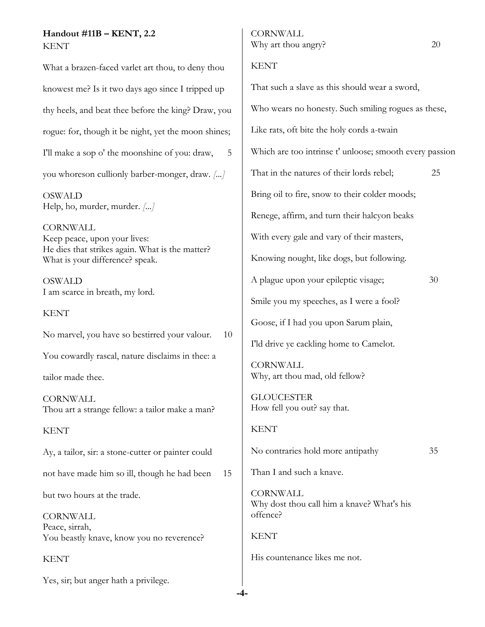#### **Handout #11B – KENT, 2.2**  KENT

What a brazen-faced varlet art thou, to deny thou knowest me? Is it two days ago since I tripped up thy heels, and beat thee before the king? Draw, you rogue: for, though it be night, yet the moon shines; I'll make a sop o' the moonshine of you: draw, 5 you whoreson cullionly barber-monger, draw. *[...]*

OSWALD Help, ho, murder, murder. *[...]*

CORNWALL Keep peace, upon your lives: He dies that strikes again. What is the matter? What is your difference? speak.

OSWALD I am scarce in breath, my lord.

#### KENT

No marvel, you have so bestirred your valour. 10

You cowardly rascal, nature disclaims in thee: a

tailor made thee.

CORNWALL Thou art a strange fellow: a tailor make a man?

**KENT** 

Ay, a tailor, sir: a stone-cutter or painter could

not have made him so ill, though he had been 15

but two hours at the trade.

CORNWALL Peace, sirrah, You beastly knave, know you no reverence?

KENT

Yes, sir; but anger hath a privilege.

#### KENT

**-4-**

That such a slave as this should wear a sword, Who wears no honesty. Such smiling rogues as these, Like rats, oft bite the holy cords a-twain Which are too intrinse t' unloose; smooth every passion That in the natures of their lords rebel; 25 Bring oil to fire, snow to their colder moods; Renege, affirm, and turn their halcyon beaks With every gale and vary of their masters, Knowing nought, like dogs, but following. A plague upon your epileptic visage; 30 Smile you my speeches, as I were a fool? Goose, if I had you upon Sarum plain, I'ld drive ye cackling home to Camelot. **CORNWALL** Why, art thou mad, old fellow? GLOUCESTER How fell you out? say that. **KENT** No contraries hold more antipathy 35 Than I and such a knave. **CORNWALL** Why dost thou call him a knave? What's his offence? **KENT** His countenance likes me not.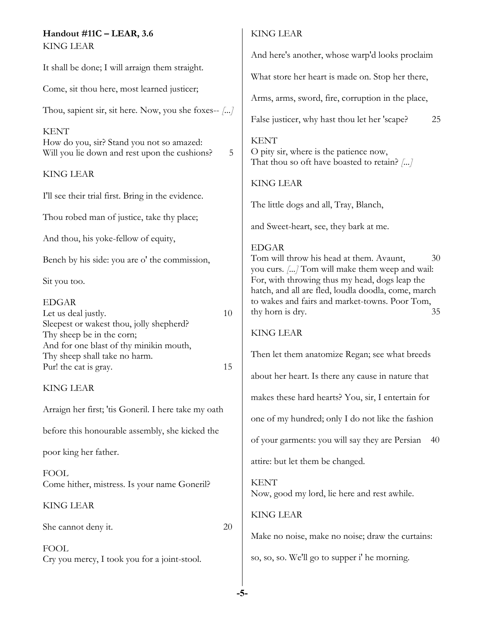#### **Handout #11C – LEAR, 3.6** KING LEAR

It shall be done; I will arraign them straight.

Come, sit thou here, most learned justicer;

Thou, sapient sir, sit here. Now, you she foxes-- *[...]*

KENT

How do you, sir? Stand you not so amazed: Will you lie down and rest upon the cushions? 5

### KING LEAR

I'll see their trial first. Bring in the evidence.

Thou robed man of justice, take thy place;

And thou, his yoke-fellow of equity,

Bench by his side: you are o' the commission,

Sit you too.

| EDGAR                                    |    |
|------------------------------------------|----|
| Let us deal justly.                      | 10 |
| Sleepest or wakest thou, jolly shepherd? |    |
| Thy sheep be in the corn;                |    |
| And for one blast of thy minikin mouth,  |    |
| Thy sheep shall take no harm.            |    |
| Pur! the cat is gray.                    | 15 |

### KING LEAR

Arraign her first; 'tis Goneril. I here take my oath

before this honourable assembly, she kicked the

poor king her father.

FOOL Come hither, mistress. Is your name Goneril?

#### KING LEAR

She cannot deny it. 20

FOOL Cry you mercy, I took you for a joint-stool.

#### KING LEAR

And here's another, whose warp'd looks proclaim

What store her heart is made on. Stop her there,

Arms, arms, sword, fire, corruption in the place,

False justicer, why hast thou let her 'scape? 25

**KENT** O pity sir, where is the patience now, That thou so oft have boasted to retain? *[...]*

KING LEAR

The little dogs and all, Tray, Blanch,

and Sweet-heart, see, they bark at me.

#### EDGAR

Tom will throw his head at them. Avaunt,  $30$ you curs. *[...]* Tom will make them weep and wail: For, with throwing thus my head, dogs leap the hatch, and all are fled, loudla doodla, come, march to wakes and fairs and market-towns. Poor Tom, thy horn is dry. 35

#### KING LEAR

Then let them anatomize Regan; see what breeds about her heart. Is there any cause in nature that makes these hard hearts? You, sir, I entertain for one of my hundred; only I do not like the fashion of your garments: you will say they are Persian 40 attire: but let them be changed. **KENT** Now, good my lord, lie here and rest awhile.

#### KING LEAR

Make no noise, make no noise; draw the curtains:

so, so, so. We'll go to supper i' he morning.

**-5-**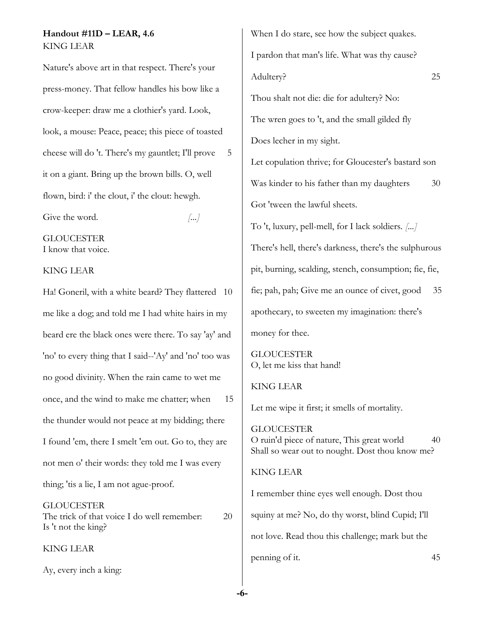#### **Handout #11D – LEAR, 4.6** KING LEAR

Nature's above art in that respect. There's your press-money. That fellow handles his bow like a crow-keeper: draw me a clothier's yard. Look, look, a mouse: Peace, peace; this piece of toasted cheese will do 't. There's my gauntlet; I'll prove 5 it on a giant. Bring up the brown bills. O, well flown, bird: i' the clout, i' the clout: hewgh.

Give the word.  $\left| \ldots \right|$ 

**GLOUCESTER** 

I know that voice.

#### KING LEAR

Ha! Goneril, with a white beard? They flattered 10 me like a dog; and told me I had white hairs in my beard ere the black ones were there. To say 'ay' and 'no' to every thing that I said--'Ay' and 'no' too was no good divinity. When the rain came to wet me once, and the wind to make me chatter; when 15 the thunder would not peace at my bidding; there I found 'em, there I smelt 'em out. Go to, they are not men o' their words: they told me I was every thing; 'tis a lie, I am not ague-proof.

#### GLOUCESTER The trick of that voice I do well remember: 20 Is 't not the king?

KING LEAR

Ay, every inch a king:

When I do stare, see how the subject quakes. I pardon that man's life. What was thy cause? Adultery? 25 Thou shalt not die: die for adultery? No: The wren goes to 't, and the small gilded fly Does lecher in my sight. Let copulation thrive; for Gloucester's bastard son Was kinder to his father than my daughters 30 Got 'tween the lawful sheets. To 't, luxury, pell-mell, for I lack soldiers. *[...]* There's hell, there's darkness, there's the sulphurous pit, burning, scalding, stench, consumption; fie, fie, fie; pah, pah; Give me an ounce of civet, good 35 apothecary, to sweeten my imagination: there's money for thee. GLOUCESTER O, let me kiss that hand! KING LEAR Let me wipe it first; it smells of mortality.

GLOUCESTER O ruin'd piece of nature, This great world 40 Shall so wear out to nought. Dost thou know me?

#### KING LEAR

I remember thine eyes well enough. Dost thou squiny at me? No, do thy worst, blind Cupid; I'll not love. Read thou this challenge; mark but the penning of it. 45

**-6-**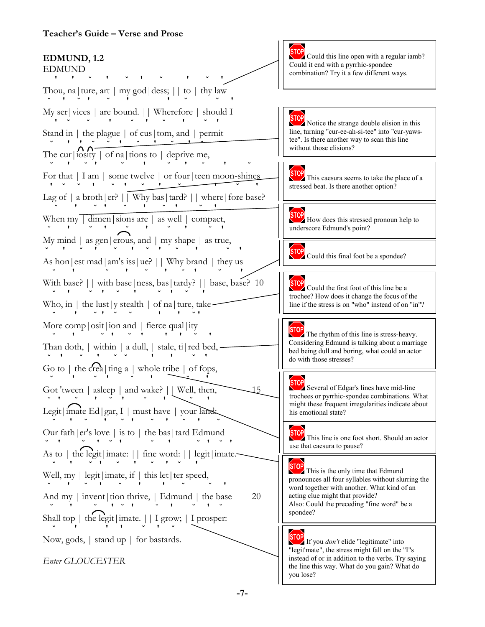#### **Teacher's Guide – Verse and Prose**

#### **STOP EDMUND, 1.2** EDMUND  **' ' ˘ ' ˘ ' ˘ ' ˘ '** Thou, na|ture, art | my god|dess; || to | thy law **˘ ' ˘ ' ˘ ' ' ˘ ˘ '** My ser|vices | are bound. || Wherefore | should I  **' ˘ ˘ ' ˘ ' ˘ ' ˘ '** Stand in | the plague | of cus|tom, and | permit **˘ ' ' ˘ ˘ ' ˘ ' ˘ ' ˘** The cur  $\lfloor N N \rfloor$  of na|tions to | deprive me, **˘ ' ˘ ' ˘ ' ˘ ' ˘ ' ˘** For that | I am | some twelve | or four | teen moon-shines  **' ˘ ˘ ' ˘ ' ˘ ' ˘ ' ˘ '** Lag of | a broth|er?  $\bigcup$  Why bas|tard? || where|fore base?  $\mathbf{y} = \mathbf{y} \cdot \mathbf{y} + \mathbf{y} \cdot \mathbf{y} + \mathbf{y} \cdot \mathbf{y} + \mathbf{y} \cdot \mathbf{y} + \mathbf{y} \cdot \mathbf{y} + \mathbf{y} \cdot \mathbf{y} + \mathbf{y} \cdot \mathbf{y} + \mathbf{y} \cdot \mathbf{y} + \mathbf{y} \cdot \mathbf{y} + \mathbf{y} \cdot \mathbf{y} + \mathbf{y} \cdot \mathbf{y} + \mathbf{y} \cdot \mathbf{y} + \mathbf{y} \cdot \mathbf{y} + \mathbf{y} \cdot \mathbf{y} + \mathbf$  $\sqrt{2}$ When my  $\sqrt{\frac{1}{\cdot}} \cdot \frac{1}{\cdot}$  as well  $\int$  compact, **˘ ' ˘ ' ˘ ' ˘ ' ˘ '** My mind | as gen|erous, and | my shape | as true, **˘ ' ˘ ' ˘ ' ˘ ' ˘ ' ˘ '** As hon|est mad|am's iss|ue? || Why brand | they us **˘ ' ˘ ' ˘ ' ˘ ' ˘ '** With base? | with base | ness, bas | tardy? | | base, base? 10 **˘ ' ˘ ' ˘ ' ˘ ' ˘ '** Who, in  $\vert$  the lust  $\vert y$  stealth  $\vert$  of na  $\vert$  ture, take- **˘ ' ˘ ' ˘ ˘ ' ' ˘ '** More comp | osit | ion and | fierce qual | ity **˘ ' ˘ ' ˘ ' ' ' ˘ '** Than doth,  $|$  within  $|$  a dull,  $|$  stale, ti $|$  red bed,  $-$  **˘ ' ˘ ' ˘ ˘ ' ' ˘ '** Go to  $\vert$  the crea  $\vert$  ting a  $\vert$  whole tribe  $\vert$  of fops, **˘ ' ˘ ' ˘ ' ˘ '** Got 'tween | asleep | and wake? | | Well, then, 15 **˘ ' ˘ ' ˘ ' ˘ ' ˘ '** Legit|imate Ed|gar, I | must have | your land: **˘ ' ˘ ' ˘ ' ˘ ' ˘ ' ˘** Our fath|er's love | is to | the bas|tard Edmund **˘ ' ˘ ' ˘ ' ˘ ' ˘ ' ˘ '** As to | the legit|imate: || fine word: || legit|imate. **˘ ' ˘ ' ˘ ' ˘ ' ˘ '** Well, my  $|$  legit  $|$  imate, if  $|$  this let  $|$  ter speed, **˘ ' ˘ ' ˘ ' ' ˘ ˘ '** And my  $|$  invent $|$  tion thrive,  $|$  Edmund  $|$  the base 20 **˘ ' ˘ ' ˘ ' ˘ ' ˘ ' ˘** Shall top | the legit|imate. || I grow; | I prosper: **˘ ' ' ' ˘ ' ˘** Now, gods, | stand up | for bastards. *Enter GLOUCESTER*

Could this line open with a regular iamb? Could it end with a pyrrhic-spondee combination? Try it a few different ways.

**STOP** Notice the strange double elision in this line, turning "cur-ee-ah-si-tee" into "cur-yawstee". Is there another way to scan this line without those elisions?

**STOP** This caesura seems to take the place of a stressed beat. Is there another option?

**STOP** How does this stressed pronoun help to underscore Edmund's point?

**STOP** Could this final foot be a spondee?

STOP Could the first foot of this line be a trochee? How does it change the focus of the line if the stress is on "who" instead of on "in"?

The rhythm of this line is stress-heavy. Considering Edmund is talking about a marriage bed being dull and boring, what could an actor do with those stresses?

**STOP**<br>Several of Edgar's lines have mid-line trochees or pyrrhic-spondee combinations. What might these frequent irregularities indicate about his emotional state?

**STOP** This line is one foot short. Should an actor use that caesura to pause?

**STOP**<br>This is the only time that Edmund pronounces all four syllables without slurring the word together with another. What kind of an acting clue might that provide? Also: Could the preceding "fine word" be a spondee?

If you *don't* elide "legitimate" into "legit'mate", the stress might fall on the "I"s instead of or in addition to the verbs. Try saying the line this way. What do you gain? What do you lose?

**-7-**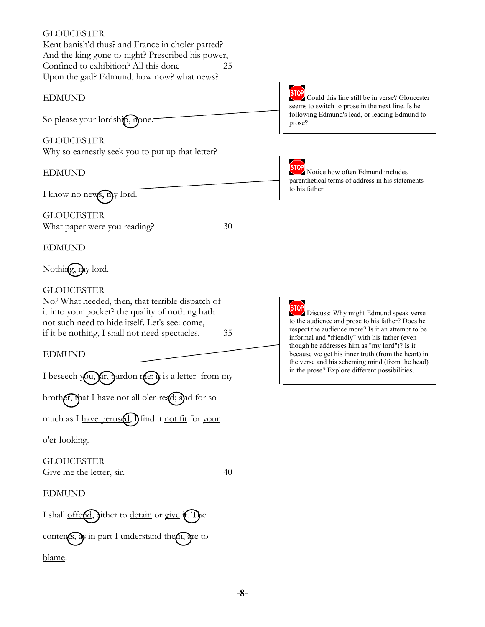#### GLOUCESTER

Kent banish'd thus? and France in choler parted? And the king gone to-night? Prescribed his power, Confined to exhibition? All this done 25 Upon the gad? Edmund, how now? what news?

#### EDMUND

So please your lordship, mone.

GLOUCESTER Why so earnestly seek you to put up that letter?

#### EDMUND

I know no news, my lord.

GLOUCESTER What paper were you reading? 30

EDMUND

Nothing, my lord.

#### GLOUCESTER

No? What needed, then, that terrible dispatch of it into your pocket? the quality of nothing hath not such need to hide itself. Let's see: come, if it be nothing, I shall not need spectacles. 35

EDMUND

I beseech you, fir, pardon me: it is a letter from my

brother, that I have not all  $o'$ er-read; and for so

much as I have perused, I find it not fit for your

o'er-looking.

**GLOUCESTER** Give me the letter, sir. 40

EDMUND

I shall offend, jither to detain or give it. The

contents, as in part I understand them, are to

blame.



Could this line still be in verse? Gloucester seems to switch to prose in the next line. Is he following Edmund's lead, or leading Edmund to prose?

STOP

Notice how often Edmund includes parenthetical terms of address in his statements to his father.

**STOP** Discuss: Why might Edmund speak verse to the audience and prose to his father? Does he respect the audience more? Is it an attempt to be informal and "friendly" with his father (even though he addresses him as "my lord")? Is it because we get his inner truth (from the heart) in the verse and his scheming mind (from the head) in the prose? Explore different possibilities.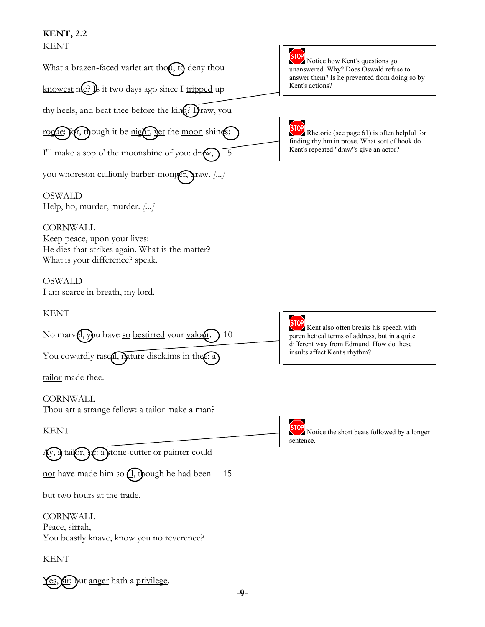### **KENT, 2.2**  KENT

| KENT                                                                                                                                  |                                                                                                                                                    |  |
|---------------------------------------------------------------------------------------------------------------------------------------|----------------------------------------------------------------------------------------------------------------------------------------------------|--|
| What a <u>brazen</u> -faced <u>varlet</u> art thou, to deny thou                                                                      | STOP <sup></sup><br>Notice how Kent's questions go<br>unanswered. Why? Does Oswald refuse to<br>answer them? Is he prevented from doing so by      |  |
| knowest me? J it two days ago since I tripped up                                                                                      | Kent's actions?                                                                                                                                    |  |
| thy <u>heels</u> , and <u>beat</u> thee before the king? Draw, you                                                                    |                                                                                                                                                    |  |
| rogue: for, though it be night, yet the moon shines;                                                                                  | <b>STOP</b><br><b>EXAMPLE 2</b> Rhetoric (see page $61$ ) is often helpful for<br>finding rhythm in prose. What sort of hook do                    |  |
| I'll make a sop o' the moonshine of you: draw,<br>5                                                                                   | Kent's repeated "draw"s give an actor?                                                                                                             |  |
| you whoreson cullionly barber-monger, draw. []                                                                                        |                                                                                                                                                    |  |
| <b>OSWALD</b><br>Help, ho, murder, murder. []                                                                                         |                                                                                                                                                    |  |
| <b>CORNWALL</b><br>Keep peace, upon your lives:<br>He dies that strikes again. What is the matter?<br>What is your difference? speak. |                                                                                                                                                    |  |
| <b>OSWALD</b><br>I am scarce in breath, my lord.                                                                                      |                                                                                                                                                    |  |
| <b>KENT</b>                                                                                                                           |                                                                                                                                                    |  |
|                                                                                                                                       |                                                                                                                                                    |  |
| No marvel, you have so bestirred your valour.<br>10                                                                                   | <b>STOP</b><br>Kent also often breaks his speech with<br>parenthetical terms of address, but in a quite<br>different way from Edmund. How do these |  |
| You cowardly rascal, mature disclaims in the e: a                                                                                     | insults affect Kent's rhythm?                                                                                                                      |  |
| tailor made thee.                                                                                                                     |                                                                                                                                                    |  |
| CORNWALL<br>Thou art a strange fellow: a tailor make a man?                                                                           |                                                                                                                                                    |  |
| KENT                                                                                                                                  | STOP<br>Notice the short beats followed by a longer                                                                                                |  |
| r: a stone-cutter or painter could<br>$tail$ <sub>01</sub>                                                                            | sentence.                                                                                                                                          |  |
| not have made him so <b>(11)</b> , though he had been<br>15                                                                           |                                                                                                                                                    |  |
| but <u>two hours</u> at the <u>trade</u> .                                                                                            |                                                                                                                                                    |  |
| <b>CORNWALL</b><br>Peace, sirrah,<br>You beastly knave, know you no reverence?                                                        |                                                                                                                                                    |  |

Yes, fir; Jut anger hath a privilege.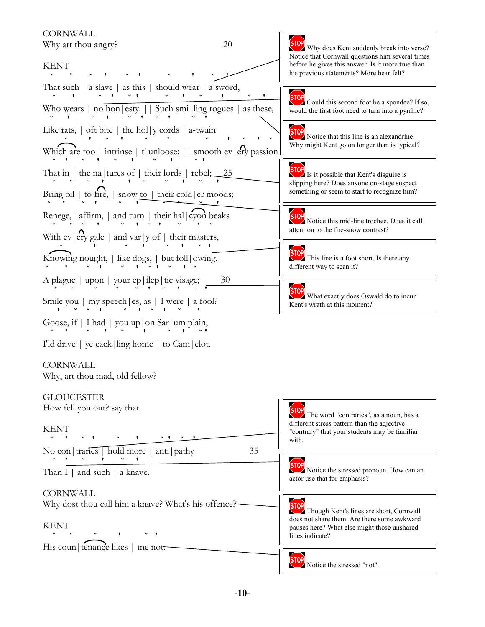**CORNWALL** 

Why art thou angry? 20

# KENT

 **˘ ' ˘ ' ˘ ' ˘ ' ˘ '** That such | a slave | as this | should wear | a sword, **˘ ' ˘ ' ˘ ' ˘ ' ˘ ' ˘ '** Who wears  $|$  no hon $|$ esty.  $|$  Such smi $|$  ling rogues  $|$  as these,

**˘ ' ˘ ' ˘ ' ˘ ' ˘ '**

Like rats,  $\vert$  oft bite  $\vert$  the hol $\vert y$  cords  $\vert$  a-twain

**<u>▽ ' ' ' ' ' ' ' ' ' ' '** ' '</u> Which are too | intrinse | t' unloose; | | smooth ev|ery passion **˘ ' ˘ ' ˘ ' ˘ ' ˘ '**

That in  $\vert$  the na $\vert$  tures of  $\vert$  their lords  $\vert$  rebel;  $\_25$ 

 **˘ ' ˘ ' ' ˘ ˘ ' ˘ '** Bring oil  $\vert$  to fire,  $\vert$  snow to  $\vert$  their cold  $\vert$  er moods;

 **˘ ' ˘ ' ˘ ' ˘ ' ˘ '** Renege,  $\vert$  affirm,  $\vert$  and turn  $\vert$  their hal $\vert$  cyon beaks

 **˘ ' ˘ ' ˘ ' ˘ ' ˘ ' ˘** With ev|ery gale | and var|y of | their masters,

 **˘ ' ˘ ' ˘ ' ˘ '** Knowing nought, | like dogs, | but foll|owing.

**˘ ' ˘ ' ˘ ' ˘ ' ˘ ' ˘**

A plague | upon | your ep|ilep|tic visage; 30 **' ˘ ˘ ' ˘ ' ˘ ' ˘ '**

Smile you | my speech|es, as | I were | a fool?  **' ˘ ˘ ' ˘ ' ˘ ' ˘ '**

Goose, if | I had | you up|on Sar|um plain, **˘ ' ˘ ' ˘ ' ˘ ' ˘ '**

I'ld drive | ye cack|ling home | to Cam|elot.

### **CORNWALL**

Why, art thou mad, old fellow?

#### GLOUCESTER



## **STOP**

Why does Kent suddenly break into verse? Notice that Cornwall questions him several times before he gives this answer. Is it more true than his previous statements? More heartfelt?

**STOP** Could this second foot be a spondee? If so, would the first foot need to turn into a pyrrhic?



**STOP** Notice that this line is an alexandrine. Why might Kent go on longer than is typical?

# **STOP**

 $\sum$  Is it possible that Kent's disguise is slipping here? Does anyone on-stage suspect something or seem to start to recognize him?

### **STOP**

Notice this mid-line trochee. Does it call attention to the fire-snow contrast?

# **STOP**

This line is a foot short. Is there any different way to scan it?

**STOP** What exactly does Oswald do to incur Kent's wrath at this moment?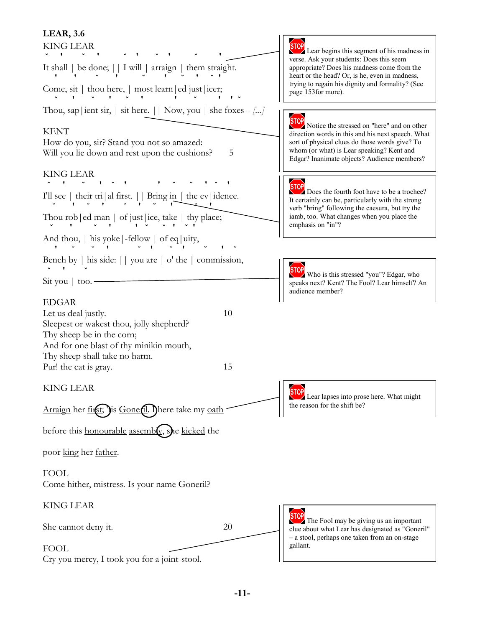### **LEAR, 3.6**

| ---------<br>KING LEAR                                                                                                                                                            |    | <b>STOP</b><br>Lear begins this segment of his madness in<br>verse. Ask your students: Does this seem<br>appropriate? Does his madness come from the<br>heart or the head? Or, is he, even in madness,                                        |  |
|-----------------------------------------------------------------------------------------------------------------------------------------------------------------------------------|----|-----------------------------------------------------------------------------------------------------------------------------------------------------------------------------------------------------------------------------------------------|--|
| It shall   be done;     I will   arraign   them straight.                                                                                                                         |    |                                                                                                                                                                                                                                               |  |
| Come, sit $ $ thou here, $ $ most learn $ $ ed just $ $ icer;                                                                                                                     |    | trying to regain his dignity and formality? (See<br>page 153 for more).                                                                                                                                                                       |  |
| Thou, sap   ient sir,   sit here. $  $ Now, you   she foxes— []                                                                                                                   |    | <b>STOP</b>                                                                                                                                                                                                                                   |  |
| KENT<br>How do you, sir? Stand you not so amazed:<br>Will you lie down and rest upon the cushions?                                                                                | 5  | Notice the stressed on "here" and on other<br>direction words in this and his next speech. What<br>sort of physical clues do those words give? To<br>whom (or what) is Lear speaking? Kent and<br>Edgar? Inanimate objects? Audience members? |  |
| KING LEAR                                                                                                                                                                         |    | <b>STOP</b>                                                                                                                                                                                                                                   |  |
| I'll see   their tri al first.     Bring in   the ev idence.                                                                                                                      |    | Does the fourth foot have to be a trochee?<br>It certainly can be, particularly with the strong<br>verb "bring" following the caesura, but try the                                                                                            |  |
| Thou rob $ ed$ man $ $ of just $ ice$ , take $ $ thy place;                                                                                                                       |    | iamb, too. What changes when you place the<br>emphasis on "in"?                                                                                                                                                                               |  |
| And thou, $\vert$ his yoke $\vert$ -fellow $\vert$ of eq $\vert$ uity,                                                                                                            |    |                                                                                                                                                                                                                                               |  |
| Bench by $ $ his side: $ $ you are $ $ o' the $ $ commission,                                                                                                                     |    | <b>STOP</b>                                                                                                                                                                                                                                   |  |
| Sit you   too. -                                                                                                                                                                  |    | Who is this stressed "you"? Edgar, who<br>speaks next? Kent? The Fool? Lear himself? An<br>audience member?                                                                                                                                   |  |
| EDGAR<br>Let us deal justly.<br>Sleepest or wakest thou, jolly shepherd?<br>Thy sheep be in the corn;<br>And for one blast of thy minikin mouth,<br>Thy sheep shall take no harm. | 10 |                                                                                                                                                                                                                                               |  |
| Pur! the cat is gray.                                                                                                                                                             | 15 |                                                                                                                                                                                                                                               |  |
| KING LEAR<br><u>Arraign</u> her <u>first;</u> Jis <u>Gone<b>f</b>il</u> . Ihere take my <u>oath</u>                                                                               |    | <b>STOP</b><br>Lear lapses into prose here. What might<br>the reason for the shift be?                                                                                                                                                        |  |
| before this honourable assembly, she kicked the                                                                                                                                   |    |                                                                                                                                                                                                                                               |  |
| poor <u>kin</u> g her <u>father</u> .                                                                                                                                             |    |                                                                                                                                                                                                                                               |  |
| FOOL<br>Come hither, mistress. Is your name Goneril?                                                                                                                              |    |                                                                                                                                                                                                                                               |  |
| KING LEAR                                                                                                                                                                         |    |                                                                                                                                                                                                                                               |  |
| She <u>cannot</u> deny it.                                                                                                                                                        | 20 | The Fool may be giving us an important<br>clue about what Lear has designated as "Goneril"<br>- a stool, perhaps one taken from an on-stage                                                                                                   |  |
| FOOL<br>Cry you mercy, I took you for a joint-stool.                                                                                                                              |    | gallant.                                                                                                                                                                                                                                      |  |
|                                                                                                                                                                                   |    |                                                                                                                                                                                                                                               |  |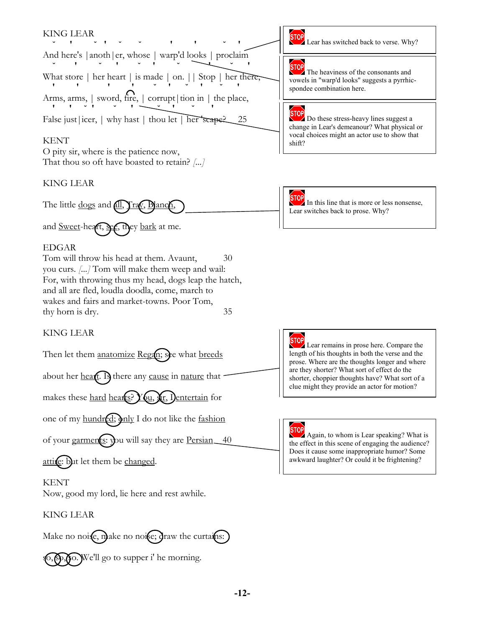#### KING LEAR

↑ **∪ ↑ ↑ ∪ ∪ ↑ ↑ ↑ ↑ ↑** And here's |anoth|er, whose | warp'd looks | proclaim **˘ ' ˘ ' ˘ ' ˘ ' ˘ '** What store | her heart | is made | on. || Stop | her there, **' ' ' ' ˘ ' ˘ ' ˘ '** Arms, arms, | sword, fire, | corrupt|tion in | the place,  **' ' ˘ ' ˘ ' ˘ ' ˘ '** False just licer,  $|$  why hast  $|$  thou let  $|$  her scape  $25$ 

#### **KENT**

O pity sir, where is the patience now, That thou so oft have boasted to retain? *[...]*

#### KING LEAR

The little <u>dogs</u> and **all**, **Tray**, **Blanch** 

and Sweet-heart, Sec, they bark at me.

#### EDGAR

Tom will throw his head at them. Avaunt,  $30$ you curs. *[...]* Tom will make them weep and wail: For, with throwing thus my head, dogs leap the hatch, and all are fled, loudla doodla, come, march to wakes and fairs and market-towns. Poor Tom, thy horn is dry. 35

### KING LEAR

Then let them anatomize Regan; see what breeds

about her heart. Is there any cause in nature that

makes these hard hearts?  $\chi_{0}$ ,  $\chi_{r}$ , I entertain for

one of my hundred; only I do not like the fashion

of your garments: you will say they are Persian 40

attine: but let them be changed.

#### **KENT**

Now, good my lord, lie here and rest awhile.

#### KING LEAR

Make no noise, make no noise; draw the curtains:

5,  $\mathcal{S}_{1}, \mathcal{S}_{2}, \mathcal{S}_{3}$  we'll go to supper i' he morning.



**STOP** Lear has switched back to verse. Why?

# **STOP**

The heaviness of the consonants and vowels in "warp'd looks" suggests a pyrrhicspondee combination here.

**STOP** Do these stress-heavy lines suggest a change in Lear's demeanour? What physical or vocal choices might an actor use to show that shift?

### **STOP**

In this line that is more or less nonsense, Lear switches back to prose. Why?

# **STOP**

Lear remains in prose here. Compare the length of his thoughts in both the verse and the prose. Where are the thoughts longer and where are they shorter? What sort of effect do the shorter, choppier thoughts have? What sort of a clue might they provide an actor for motion?

**STOP** Again, to whom is Lear speaking? What is the effect in this scene of engaging the audience? Does it cause some inappropriate humor? Some awkward laughter? Or could it be frightening?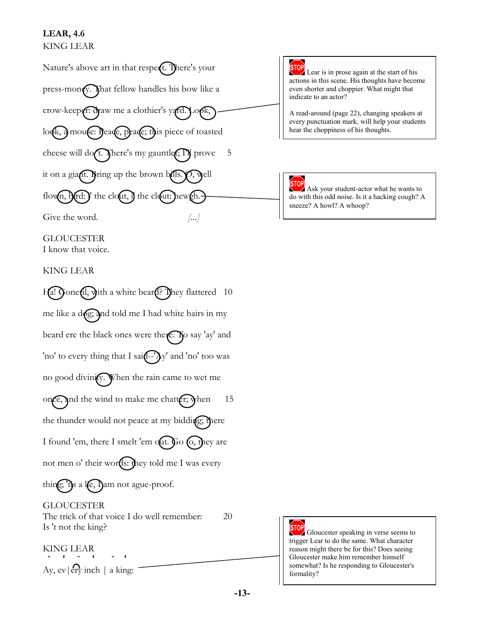### **LEAR, 4.6** KING LEAR



**GLOUCESTER** I know that voice.

#### KING LEAR

Ha! Goneril, with a white beard? They flattered 10 me like a d $\sqrt{\gamma}$  and told me I had white hairs in my beard ere the black ones were there. To say 'ay' and 'no' to every thing that I sai $\left( -\frac{1}{2}y' \right)$  and 'no' too was no good divinity. When the rain came to wet me once, and the wind to make me chatter; when  $15$ the thunder would not peace at my bidding; there I found 'em, there I smelt 'em out. Go  $\epsilon$ , they are not men o' their words: they told me I was every thing;  $\theta$ s a le, Dam not ague-proof. GLOUCESTER

The trick of that voice I do well remember: 20 Is 't not the king?

KING LEAR **˘ ' ˘ ' ˘ '**

Ay,  $ev$  | ery inch | a king:



Lear is in prose again at the start of his actions in this scene. His thoughts have become even shorter and choppier. What might that indicate to an actor?

A read-around (page 22), changing speakers at every punctuation mark, will help your students hear the choppiness of his thoughts.



Ask your student-actor what he wants to do with this odd noise. Is it a hacking cough? A sneeze? A howl? A whoop?



Gloucester speaking in verse seems to trigger Lear to do the same. What character reason might there be for this? Does seeing Gloucester make him remember himself somewhat? Is he responding to Gloucester's formality?